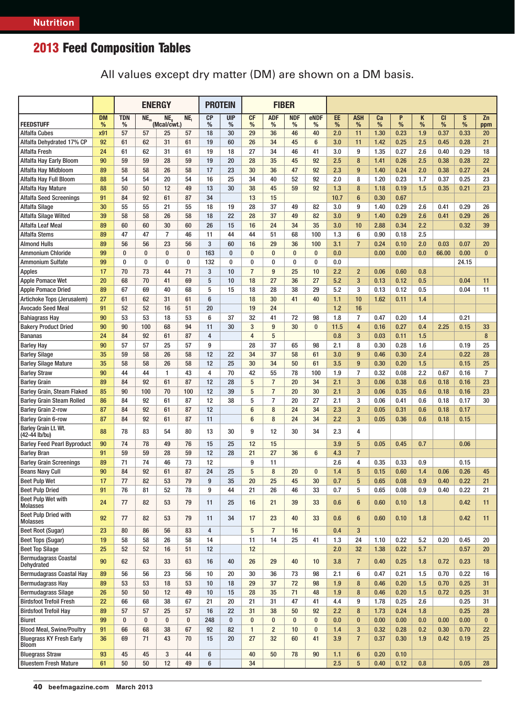All values except dry matter (DM) are shown on a DM basis.

|                                                |                |                 | <b>ENERGY</b>   |                                |           | <b>PROTEIN</b><br><b>FIBER</b> |                 |                 |                 |                 |                |         |                 |            |        |                    |                |                    |                |
|------------------------------------------------|----------------|-----------------|-----------------|--------------------------------|-----------|--------------------------------|-----------------|-----------------|-----------------|-----------------|----------------|---------|-----------------|------------|--------|--------------------|----------------|--------------------|----------------|
| <b>FEEDSTUFF</b>                               | <b>DM</b><br>% | <b>TDN</b><br>% | NE <sub>m</sub> | NE <sub>a</sub><br>(Mcal/cwt.) | NE,       | <b>CP</b><br>%                 | <b>UIP</b><br>% | <b>CF</b><br>%  | <b>ADF</b><br>% | <b>NDF</b><br>% | eNDF<br>%      | EE<br>% | <b>ASH</b><br>% | Ca<br>$\%$ | P<br>% | Κ<br>$\frac{9}{6}$ | <b>CI</b><br>% | S<br>$\frac{9}{6}$ | Zn<br>ppm      |
| <b>Alfalfa Cubes</b>                           | x91            | 57              | 57              | 25                             | 57        | 18                             | 30              | 29              | 36              | 46              | 40             | 2.0     | 11              | 1.30       | 0.23   | 1.9                | 0.37           | 0.33               | 20             |
| Alfalfa Dehydrated 17% CP                      | 92             | 61              | 62              | 31                             | 61        | 19                             | 60              | 26              | 34              | 45              | $6\phantom{1}$ | 3.0     | 11              | 1.42       | 0.25   | 2.5                | 0.45           | 0.28               | 21             |
| <b>Alfalfa Fresh</b>                           | 24             | 61              | 62              | 31                             | 61        | 19                             | 18              | 27              | 34              | 46              | 41             | 3.0     | 9               | 1.35       | 0.27   | 2.6                | 0.40           | 0.29               | 18             |
| Alfalfa Hay Early Bloom                        | 90             | 59              | 59              | 28                             | 59        | 19                             | 20              | 28              | 35              | 45              | 92             | 2.5     | 8               | 1.41       | 0.26   | 2.5                | 0.38           | 0.28               | 22             |
| Alfalfa Hay Midbloom                           | 89             | 58              | 58              | 26                             | 58        | 17                             | 23              | 30              | 36              | 47              | 92             | 2.3     | 9               | 1.40       | 0.24   | 2.0                | 0.38           | 0.27               | 24             |
| Alfalfa Hay Full Bloom                         | 88             | 54              | 54              | 20                             | 54        | 16                             | 25              | 34              | 40              | 52              | 92             | 2.0     | 8               | 1.20       | 0.23   | 1.7                | 0.37           | 0.25               | 23             |
| Alfalfa Hay Mature                             | 88             | 50              | 50              | 12                             | 49        | 13                             | 30              | 38              | 45              | 59              | 92             | 1.3     | 8               | 1.18       | 0.19   | 1.5                | 0.35           | 0.21               | 23             |
| <b>Alfalfa Seed Screenings</b>                 | 91             | 84              | 92              | 61                             | 87        | 34                             |                 | 13              | 15              |                 |                | 10.7    | $6\phantom{1}$  | 0.30       | 0.67   |                    |                |                    |                |
| <b>Alfalfa Silage</b>                          | 30             | 55              | 55              | 21                             | 55        | 18                             | 19              | 28              | 37              | 49              | 82             | 3.0     | 9               | 1.40       | 0.29   | 2.6                | 0.41           | 0.29               | 26             |
| Alfalfa Silage Wilted                          | 39             | 58              | 58              | 26                             | 58        | 18                             | 22              | 28              | 37              | 49              | 82             | 3.0     | 9               | 1.40       | 0.29   | 2.6                | 0.41           | 0.29               | 26             |
| Alfalfa Leaf Meal                              | 89             | 60              | 60              | 30                             | 60        | 26                             | 15              | 16              | 24              | 34              | 35             | 3.0     | 10              | 2.88       | 0.34   | 2.2                |                | 0.32               | 39             |
| <b>Alfalfa Stems</b>                           | 89             | 47              | 47              | $\overline{7}$                 | 46        | 11                             | 44              | 44              | 51              | 68              | 100            | 1.3     | 6               | 0.90       | 0.18   | 2.5                |                |                    |                |
| <b>Almond Hulls</b>                            | 89             | 56              | 56              | 23                             | 56        | 3                              | 60              | 16              | 29              | 36              | 100            | 3.1     | $\overline{7}$  | 0.24       | 0.10   | 2.0                | 0.03           | 0.07               | 20             |
| <b>Ammonium Chloride</b>                       | 99             | $\bf{0}$        | 0               | $\pmb{0}$                      | $\bf{0}$  | 163                            | $\bf{0}$        | $\bf{0}$        | $\bf{0}$        | $\bf{0}$        | $\bf{0}$       | 0.0     |                 | 0.00       | 0.00   | 0.0                | 66.00          | 0.00               | $\bf{0}$       |
| <b>Ammonium Sulfate</b>                        | 99             | $\bf{0}$        | $\bf{0}$        | 0                              | $\bf{0}$  | 132                            | 0               | $\bf{0}$        | 0               | 0               | 0              | 0.0     |                 |            |        |                    |                | 24.15              |                |
| <b>Apples</b>                                  | 17             | 70              | 73              | 44                             | 71        | 3                              | 10              | $\overline{7}$  | 9               | 25              | 10             | 2.2     | $\overline{2}$  | 0.06       | 0.60   | 0.8                |                |                    |                |
| <b>Apple Pomace Wet</b>                        | 20             | 68              | 70              | 41                             | 69        | 5                              | 10              | 18              | 27              | 36              | 27             | 5.2     | 3               | 0.13       | 0.12   | 0.5                |                | 0.04               | 11             |
| <b>Apple Pomace Dried</b>                      | 89             | 67              | 69              | 40                             | 68        | 5                              | 15              | 18              | 28              | 38              | 29             | 5.2     | 3               | 0.13       | 0.12   | 0.5                |                | 0.04               | 11             |
| Artichoke Tops (Jerusalem)                     | 27             | 61              | 62              | 31                             | 61        | $6\phantom{1}6$                |                 | 18              | 30              | 41              | 40             | 1.1     | 10              | 1.62       | 0.11   | 1.4                |                |                    |                |
| Avocado Seed Meal                              | 91             | 52              | 52              | 16                             | 51        | 20                             |                 | 19              | 24              |                 |                | 1.2     | 16              |            |        |                    |                |                    |                |
| <b>Bahiagrass Hay</b>                          | 90             | 53              | 53              | 18                             | 53        | 6                              | 37              | 32              | 41              | 72              | 98             | 1.8     | $\overline{7}$  | 0.47       | 0.20   | 1.4                |                | 0.21               |                |
| <b>Bakery Product Dried</b>                    | 90             | 90              | 100             | 68                             | 94        | 11                             | 30              | 3               | 9               | 30              | $\bf{0}$       | 11.5    | 4               | 0.16       | 0.27   | 0.4                | 2.25           | 0.15               | 33             |
| <b>Bananas</b>                                 | 24             | 84              | 92              | 61                             | 87        | 4                              |                 | $\overline{4}$  | 5               |                 |                | 0.8     | 3               | 0.03       | 0.11   | 1.5                |                |                    | 8              |
| <b>Barley Hay</b>                              | 90             | 57              | 57              | 25                             | 57        | 9                              |                 | 28              | 37              | 65              | 98             | 2.1     | 8               | 0.30       | 0.28   | 1.6                |                | 0.19               | 25             |
| <b>Barley Silage</b>                           | 35             | 59              | 58              | 26                             | 58        | 12                             | 22              | 34              | 37              | 58              | 61             | 3.0     | 9               | 0.46       | 0.30   | 2.4                |                | 0.22               | 28             |
| <b>Barley Silage Mature</b>                    | 35             | 58              | 58              | 26                             | 58        | 12                             | 25              | 30              | 34              | 50              | 61             | 3.5     | 9               | 0.30       | 0.20   | 1.5                |                | 0.15               | 25             |
| <b>Barley Straw</b>                            | 90             | 44              | 44              | $\mathbf{1}$                   | 43        | 4                              | 70              | 42              | 55              | 78              | 100            | 1.9     | $\overline{7}$  | 0.32       | 0.08   | 2.2                | 0.67           | 0.16               | $\overline{7}$ |
| <b>Barley Grain</b>                            | 89             | 84              | 92              | 61                             | 87        | 12                             | 28              | 5               | $\overline{7}$  | 20              | 34             | 2.1     | 3               | 0.06       | 0.38   | 0.6                | 0.18           | 0.16               | 23             |
| Barley Grain, Steam Flaked                     | 85             | 90              | 100             | 70                             | 100       | 12                             | 39              | 5               | $\overline{7}$  | 20              | 30             | 2.1     | 3               | 0.06       | 0.35   | 0.6                | 0.18           | 0.16               | 23             |
| <b>Barley Grain Steam Rolled</b>               | 86             | 84              | 92              | 61                             | 87        | 12                             | 38              | 5               | $\overline{7}$  | 20              | 27             | 2.1     | 3               | 0.06       | 0.41   | 0.6                | 0.18           | 0.17               | 30             |
| <b>Barley Grain 2-row</b>                      | 87             | 84              | 92              | 61                             | 87        | 12                             |                 | 6               | 8               | 24              | 34             | 2.3     | $\overline{2}$  | 0.05       | 0.31   | 0.6                | 0.18           | 0.17               |                |
| <b>Barley Grain 6-row</b>                      | 87             | 84              | 92              | 61                             | 87        | 11                             |                 | $6\phantom{1}$  | 8               | 24              | 34             | 2.2     | 3               | 0.05       | 0.36   | 0.6                | 0.18           | 0.15               |                |
| Barley Grain Lt. Wt.<br>(42-44 lb/bu)          | 88             | 78              | 83              | 54                             | 80        | 13                             | 30              | 9               | 12              | 30              | 34             | 2.3     | 4               |            |        |                    |                |                    |                |
| <b>Barley Feed Pearl Byproduct</b>             | 90             | 74              | 78              | 49                             | 76        | 15                             | 25              | 12              | 15              |                 |                | 3.9     | 5               | 0.05       | 0.45   | 0.7                |                | 0.06               |                |
| <b>Barley Bran</b>                             | 91             | 59              | 59              | 28                             | 59        | 12                             | 28              | 21              | 27              | 36              | $6\phantom{1}$ | 4.3     | $\overline{7}$  |            |        |                    |                |                    |                |
| <b>Barley Grain Screenings</b>                 | 89             | 71              | 74              | 46                             | 73        | 12                             |                 | 9               | 11              |                 |                | 2.6     | 4               | 0.35       | 0.33   | 0.9                |                | 0.15               |                |
| <b>Beans Navy Cull</b>                         | 90             | 84              | 92              | 61                             | 87        | 24                             | 25              | 5               | 8               | 20              | $\bf{0}$       | 1.4     | 5               | 0.15       | 0.60   | 1.4                | 0.06           | 0.26               | 45             |
| <b>Beet Pulp Wet</b>                           | 17             | 77              | 82              | 53                             | 79        | 9                              | 35              | 20              | 25              | 45              | 30             | 0.7     | 5               | 0.65       | 0.08   | 0.9                | 0.40           | 0.22               | 21             |
| <b>Beet Pulp Dried</b>                         | 91             | 76              | 81              | 52                             | 78        | 9                              | 44              | 21              | 26              | 46              | 33             | 0.7     | 5               | 0.65       | 0.08   | 0.9                | 0.40           | 0.22               | 21             |
| <b>Beet Pulp Wet with</b><br><b>Molasses</b>   | 24             | 77              | 82              | 53                             | 79        | 11                             | 25              | 16              | 21              | 39              | 33             | 0.6     | $6\phantom{1}$  | 0.60       | 0.10   | 1.8                |                | 0.42               | 11             |
| <b>Beet Pulp Dried with</b><br><b>Molasses</b> | 92             | 77              | 82              | 53                             | 79        | 11                             | 34              | 17              | 23              | 40              | 33             | 0.6     | $6\phantom{1}$  | 0.60       | 0.10   | 1.8                |                | 0.42               | 11             |
| Beet Root (Sugar)                              | 23             | 80              | 86              | 56                             | 83        | $\overline{4}$                 |                 | $5\phantom{.0}$ | $\overline{7}$  | 16              |                | 0.4     | 3 <sup>2</sup>  |            |        |                    |                |                    |                |
| Beet Tops (Sugar)                              | 19             | 58              | 58              | 26                             | 58        | 14                             |                 | 11              | 14              | 25              | 41             | 1.3     | 24              | 1.10       | 0.22   | 5.2                | 0.20           | 0.45               | 20             |
| <b>Beet Top Silage</b>                         | 25             | 52              | 52              | 16                             | 51        | 12                             |                 | 12              |                 |                 |                | 2.0     | 32              | 1.38       | 0.22   | 5.7                |                | 0.57               | 20             |
| <b>Bermudagrass Coastal</b><br>Dehydrated      | 90             | 62              | 63              | 33                             | 63        | 16                             | 40              | 26              | 29              | 40              | 10             | 3.8     | $\overline{7}$  | 0.40       | 0.25   | 1.8                | 0.72           | 0.23               | 18             |
| <b>Bermudagrass Coastal Hay</b>                | 89             | 56              | 56              | 23                             | 56        | 10                             | 20              | 30              | 36              | 73              | 98             | 2.1     | 6               | 0.47       | 0.21   | 1.5                | 0.70           | 0.22               | 16             |
| <b>Bermudagrass Hay</b>                        | 89             | 53              | 53              | 18                             | 53        | 10                             | 18              | 29              | 37              | 72              | 98             | 1.9     | 8               | 0.46       | 0.20   | 1.5                | 0.70           | 0.25               | 31             |
| <b>Bermudagrass Silage</b>                     | 26             | 50              | 50              | 12                             | 49        | 10                             | 15              | 28              | 35              | 71              | 48             | 1.9     | 8               | 0.46       | 0.20   | 1.5                | 0.72           | 0.25               | 31             |
| <b>Birdsfoot Trefoil Fresh</b>                 | 22             | 66              | 68              | 38                             | 67        | 21                             | 20              | 21              | 31              | 47              | 41             | 4.4     | 9               | 1.78       | 0.25   | 2.6                |                | 0.25               | 31             |
| <b>Birdsfoot Trefoil Hay</b>                   | 89             | 57              | 57              | 25                             | 57        | 16                             | 22              | 31              | 38              | 50              | 92             | 2.2     | 8               | 1.73       | 0.24   | 1.8                |                | 0.25               | 28             |
| Biuret                                         | 99             | $\pmb{0}$       | $\bf{0}$        | 0                              | $\pmb{0}$ | 248                            | 0               | $\pmb{0}$       | $\bf{0}$        | 0               | $\bf{0}$       | 0.0     | $\pmb{0}$       | 0.00       | 0.00   | 0.0                | 0.00           | 0.00               | $\bf{0}$       |
| <b>Blood Meal, Swine/Poultry</b>               | 91             | 66              | 68              | 38                             | 67        | 92                             | 82              | $\mathbf{1}$    | $\overline{2}$  | 10              | $\bf{0}$       | 1.4     | 3               | 0.32       | 0.28   | 0.2                | 0.30           | 0.70               | 22             |
| <b>Bluegrass KY Fresh Early</b><br>Bloom       | 36             | 69              | 71              | 43                             | 70        | 15                             | 20              | 27              | 32              | 60              | 41             | 3.9     | $\overline{7}$  | 0.37       | 0.30   | 1.9                | 0.42           | 0.19               | 25             |
| <b>Bluegrass Straw</b>                         | 93             | 45              | 45              | 3                              | 44        | $6\phantom{1}$                 |                 | 40              | 50              | 78              | 90             | 1.1     | 6               | 0.20       | 0.10   |                    |                |                    |                |
| <b>Bluestem Fresh Mature</b>                   | 61             | 50              | 50              | 12                             | 49        | 6                              |                 | 34              |                 |                 |                | 2.5     | $5\overline{)}$ | 0.40       | 0.12   | 0.8                |                | 0.05               | 28             |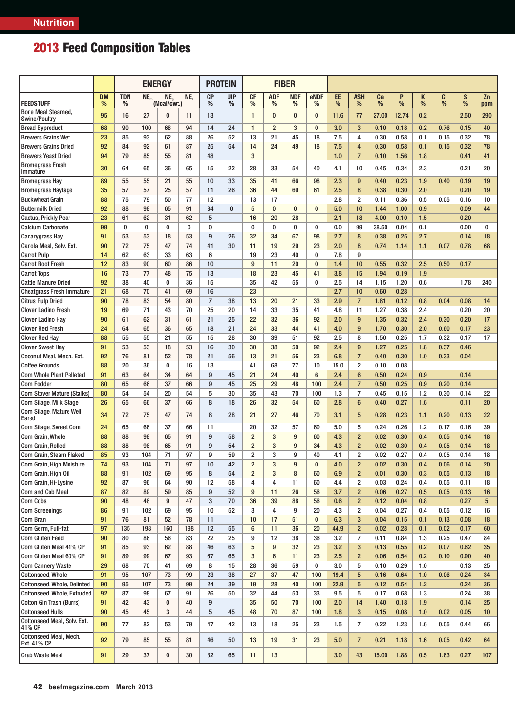|                                                   |                | <b>ENERGY</b>   |          |                         |     | <b>FIBER</b><br><b>PROTEIN</b> |                 |                |                 |                 |                |          |                         |         |        |        |                |        |                 |
|---------------------------------------------------|----------------|-----------------|----------|-------------------------|-----|--------------------------------|-----------------|----------------|-----------------|-----------------|----------------|----------|-------------------------|---------|--------|--------|----------------|--------|-----------------|
| <b>FEEDSTUFF</b>                                  | <b>DM</b><br>% | <b>TDN</b><br>% | $NE_{m}$ | $NE_{a}$<br>(Mcal/cwt.) | NE, | <b>CP</b><br>%                 | <b>UIP</b><br>% | <b>CF</b><br>% | <b>ADF</b><br>% | <b>NDF</b><br>% | eNDF<br>%      | EE.<br>% | <b>ASH</b><br>%         | Ca<br>% | P<br>% | Κ<br>% | <b>CI</b><br>% | S<br>% | Zn<br>ppm       |
| <b>Bone Meal Steamed,</b><br><b>Swine/Poultry</b> | 95             | 16              | 27       | $\bf{0}$                | 11  | 13                             |                 | $\mathbf{1}$   | $\bf{0}$        | $\bf{0}$        | $\bf{0}$       | 11.6     | 77                      | 27.00   | 12.74  | 0.2    |                | 2.50   | 290             |
| <b>Bread Byproduct</b>                            | 68             | 90              | 100      | 68                      | 94  | 14                             | 24              | $\mathbf{1}$   | $\overline{2}$  | 3               | $\bf{0}$       | 3.0      | 3                       | 0.10    | 0.18   | 0.2    | 0.76           | 0.15   | 40              |
| <b>Brewers Grains Wet</b>                         | 23             | 85              | 93       | 62                      | 88  | 26                             | 52              | 13             | 21              | 45              | 18             | 7.5      | $\overline{4}$          | 0.30    | 0.58   | 0.1    | 0.15           | 0.32   | 78              |
| <b>Brewers Grains Dried</b>                       | 92             | 84              | 92       | 61                      | 87  | 25                             | 54              | 14             | 24              | 49              | 18             | 7.5      | $\overline{4}$          | 0.30    | 0.58   | 0.1    | 0.15           | 0.32   | 78              |
| <b>Brewers Yeast Dried</b>                        | 94             | 79              | 85       | 55                      | 81  | 48                             |                 | 3              |                 |                 |                | 1.0      | $\overline{7}$          | 0.10    | 1.56   | 1.8    |                | 0.41   | 41              |
| <b>Bromegrass Fresh</b><br>Immature               | 30             | 64              | 65       | 36                      | 65  | 15                             | 22              | 28             | 33              | 54              | 40             | 4.1      | 10                      | 0.45    | 0.34   | 2.3    |                | 0.21   | 20              |
| <b>Bromegrass Hay</b>                             | 89             | 55              | 55       | 21                      | 55  | 10                             | 33              | 35             | 41              | 66              | 98             | 2.3      | 9                       | 0.40    | 0.23   | 1.9    | 0.40           | 0.19   | 19              |
| <b>Bromegrass Haylage</b>                         | 35             | 57              | 57       | 25                      | 57  | 11                             | 26              | 36             | 44              | 69              | 61             | 2.5      | 8                       | 0.38    | 0.30   | 2.0    |                | 0.20   | 19              |
| <b>Buckwheat Grain</b>                            | 88             | 75              | 79       | 50                      | 77  | 12                             |                 | 13             | 17              |                 |                | 2.8      | $\overline{2}$          | 0.11    | 0.36   | 0.5    | 0.05           | 0.16   | 10              |
| <b>Buttermilk Dried</b>                           | 92             | 88              | 98       | 65                      | 91  | 34                             | $\bf{0}$        | 5              | $\bf{0}$        | $\bf{0}$        | $\bf{0}$       | 5.0      | 10                      | 1.44    | 1.00   | 0.9    |                | 0.09   | 44              |
| <b>Cactus, Prickly Pear</b>                       | 23             | 61              | 62       | 31                      | 62  | 5                              |                 | 16             | 20              | 28              |                | 2.1      | 18                      | 4.00    | 0.10   | 1.5    |                | 0.20   |                 |
| <b>Calcium Carbonate</b>                          | 99             | 0               | 0        | $\pmb{0}$               | 0   | 0                              |                 | $\bf{0}$       | $\bf{0}$        | $\bf{0}$        | 0              | 0.0      | 99                      | 38.50   | 0.04   | 0.1    |                | 0.00   | 0               |
| <b>Canarygrass Hay</b>                            | 91             | 53              | 53       | 18                      | 53  | 9                              | 26              | 32             | 34              | 67              | 98             | 2.7      | 8                       | 0.38    | 0.25   | 2.7    |                | 0.14   | 18              |
| Canola Meal, Solv. Ext.                           | 90             | 72              | 75       | 47                      | 74  | 41                             | 30              | 11             | 19              | 29              | 23             | 2.0      | 8                       | 0.74    | 1.14   | 1.1    | 0.07           | 0.78   | 68              |
| <b>Carrot Pulp</b>                                | 14             | 62              | 63       | 33                      | 63  | 6                              |                 | 19             | 23              | 40              | $\bf{0}$       | 7.8      | 9                       |         |        |        |                |        |                 |
| <b>Carrot Root Fresh</b>                          | 12             | 83              | 90       | 60                      | 86  | 10                             |                 | 9              | 11              | 20              | $\bf{0}$       | 1.4      | 10                      | 0.55    | 0.32   | 2.5    | 0.50           | 0.17   |                 |
| <b>Carrot Tops</b>                                | 16             | 73              | 77       | 48                      | 75  | 13                             |                 | 18             | 23              | 45              | 41             | 3.8      | 15                      | 1.94    | 0.19   | 1.9    |                |        |                 |
| <b>Cattle Manure Dried</b>                        | 92             | 38              | 40       | 0                       | 36  | 15                             |                 | 35             | 42              | 55              | 0              | 2.5      | 14                      | 1.15    | 1.20   | 0.6    |                | 1.78   | 240             |
| <b>Cheatgrass Fresh Immature</b>                  | 21             | 68              | 70       | 41                      | 69  | 16                             |                 | 23             |                 |                 |                | 2.7      | 10                      | 0.60    | 0.28   |        |                |        |                 |
| <b>Citrus Pulp Dried</b>                          | 90             | 78              | 83       | 54                      | 80  | $\overline{7}$                 | 38              | 13             | 20              | 21              | 33             | 2.9      | $\overline{7}$          | 1.81    | 0.12   | 0.8    | 0.04           | 0.08   | 14              |
| <b>Clover Ladino Fresh</b>                        | 19             | 69              | 71       | 43                      | 70  | 25                             | 20              | 14             | 33              | 35              | 41             | 4.8      | 11                      | 1.27    | 0.38   | 2.4    |                | 0.20   | 20              |
| <b>Clover Ladino Hay</b>                          | 90             | 61              | 62       | 31                      | 61  | 21                             | 25              | 22             | 32              | 36              | 92             | 2.0      | 9                       | 1.35    | 0.32   | 2.4    | 0.30           | 0.20   | 17              |
| <b>Clover Red Fresh</b>                           | 24             | 64              | 65       | 36                      | 65  | 18                             | 21              | 24             | 33              | 44              | 41             | 4.0      | 9                       | 1.70    | 0.30   | 2.0    | 0.60           | 0.17   | 23              |
| <b>Clover Red Hay</b>                             | 88             | 55              | 55       | 21                      | 55  | 15                             | 28              | 30             | 39              | 51              | 92             | 2.5      | 8                       | 1.50    | 0.25   | 1.7    | 0.32           | 0.17   | 17              |
| <b>Clover Sweet Hay</b>                           | 91             | 53              | 53       | 18                      | 53  | 16                             | 30              | 30             | 38              | 50              | 92             | 2.4      | 9                       | 1.27    | 0.25   | 1.8    | 0.37           | 0.46   |                 |
| Coconut Meal, Mech. Ext.                          | 92             | 76              | 81       | 52                      | 78  | 21                             | 56              | 13             | 21              | 56              | 23             | 6.8      | $\overline{7}$          | 0.40    | 0.30   | 1.0    | 0.33           | 0.04   |                 |
| <b>Coffee Grounds</b>                             | 88             | 20              | 36       | 0                       | 16  | 13                             |                 | 41             | 68              | 77              | 10             | 15.0     | $\overline{\mathbf{2}}$ | 0.10    | 0.08   |        |                |        |                 |
| <b>Corn Whole Plant Pelleted</b>                  | 91             | 63              | 64       | 34                      | 64  | 9                              | 45              | 21             | 24              | 40              | $6\phantom{1}$ | 2.4      | $6\phantom{1}6$         | 0.50    | 0.24   | 0.9    |                | 0.14   |                 |
| <b>Corn Fodder</b>                                | 80             | 65              | 66       | 37                      | 66  | 9                              | 45              | 25             | 29              | 48              | 100            | 2.4      | $\overline{7}$          | 0.50    | 0.25   | 0.9    | 0.20           | 0.14   |                 |
| <b>Corn Stover Mature (Stalks)</b>                | 80             | 54              | 54       | 20                      | 54  | 5                              | 30              | 35             | 43              | 70              | 100            | 1.3      | $\overline{7}$          | 0.45    | 0.15   | 1.2    | 0.30           | 0.14   | 22              |
| <b>Corn Silage, Milk Stage</b>                    | 26             | 65              | 66       | 37                      | 66  | 8                              | 18              | 26             | 32              | 54              | 60             | 2.8      | $6\phantom{1}6$         | 0.40    | 0.27   | 1.6    |                | 0.11   | 20              |
| <b>Corn Silage, Mature Well</b><br>Eared          | 34             | 72              | 75       | 47                      | 74  | 8                              | 28              | 21             | 27              | 46              | 70             | 3.1      | 5                       | 0.28    | 0.23   | 1.1    | 0.20           | 0.13   | 22              |
| Corn Silage, Sweet Corn                           | 24             | 65              | 66       | 37                      | 66  | 11                             |                 | 20             | 32              | 57              | 60             | 5.0      | 5                       | 0.24    | 0.26   | 1.2    | 0.17           | 0.16   | 39              |
| Corn Grain, Whole                                 | 88             | 88              | 98       | 65                      | 91  | 9                              | 58              | $\overline{2}$ | 3               | 9               | 60             | 4.3      | $\overline{2}$          | 0.02    | 0.30   | 0.4    | 0.05           | 0.14   | 18              |
| Corn Grain, Rolled                                | 88             | 88              | 98       | 65                      | 91  | 9                              | 54              | $\overline{2}$ | 3               | 9               | 34             | 4.3      | $\overline{2}$          | 0.02    | 0.30   | 0.4    | 0.05           | 0.14   | 18              |
| Corn Grain, Steam Flaked                          | 85             | 93              | 104      | 71                      | 97  | 9                              | 59              | $\overline{2}$ | 3               | 9               | 40             | 4.1      | $\overline{2}$          | 0.02    | 0.27   | 0.4    | 0.05           | 0.14   | 18              |
| Corn Grain, High Moisture                         | 74             | 93              | 104      | 71                      | 97  | 10                             | 42              | $\overline{2}$ | 3               | 9               | $\bf{0}$       | 4.0      | $\overline{2}$          | 0.02    | 0.30   | 0.4    | 0.06           | 0.14   | 20              |
| Corn Grain, High Oil                              | 88             | 91              | 102      | 69                      | 95  | 8                              | 54              | $\overline{2}$ | 3               | 8               | 60             | 6.9      | $\overline{2}$          | 0.01    | 0.30   | 0.3    | 0.05           | 0.13   | 18              |
| Corn Grain, Hi-Lysine                             | 92             | 87              | 96       | 64                      | 90  | 12                             | 58              | 4              | 4               | 11              | 60             | 4.4      | $\overline{2}$          | 0.03    | 0.24   | 0.4    | 0.05           | 0.11   | 18              |
| <b>Corn and Cob Meal</b>                          | 87             | 82              | 89       | 59                      | 85  | 9                              | 52              | 9              | 11              | 26              | 56             | 3.7      | $\overline{2}$          | 0.06    | 0.27   | 0.5    | 0.05           | 0.13   | 16              |
| <b>Corn Cobs</b>                                  | 90             | 48              | 48       | 9                       | 47  | 3                              | 70              | 36             | 39              | 88              | 56             | 0.6      | $\overline{2}$          | 0.12    | 0.04   | 0.8    |                | 0.27   | $5\phantom{.0}$ |
| <b>Corn Screenings</b>                            | 86             | 91              | 102      | 69                      | 95  | 10                             | 52              | 3              | 4               | 9               | 20             | 4.3      | $\overline{\mathbf{2}}$ | 0.04    | 0.27   | 0.4    | 0.05           | 0.12   | 16              |
| Corn Bran                                         | 91             | 76              | 81       | 52                      | 78  | 11                             |                 | 10             | 17              | 51              | $\bf{0}$       | 6.3      | 3                       | 0.04    | 0.15   | 0.1    | 0.13           | 0.08   | 18              |
| Corn Germ, Full-fat                               | 97             | 135             | 198      | 160                     | 198 | 12                             | 55              | 6              | 11              | 36              | 20             | 44.9     | $\overline{2}$          | 0.02    | 0.28   | 0.1    | 0.02           | 0.17   | 60              |
| <b>Corn Gluten Feed</b>                           | 90             | 80              | 86       | 56                      | 83  | 22                             | 25              | 9              | 12              | 38              | 36             | 3.2      | $\overline{7}$          | 0.11    | 0.84   | 1.3    | 0.25           | 0.47   | 84              |
| Corn Gluten Meal 41% CP                           | 91             | 85              | 93       | 62                      | 88  | 46                             | 63              | 5              | 9               | 32              | 23             | 3.2      | $\mathbf{3}$            | 0.13    | 0.55   | 0.2    | 0.07           | 0.62   | 35              |
| Corn Gluten Meal 60% CP                           | 91             | 89              | 99       | 67                      | 93  | 67                             | 65              | 3              | 6               | 11              | 23             | 2.5      | $\overline{2}$          | 0.06    | 0.54   | 0.2    | 0.10           | 0.90   | 40              |
| <b>Corn Cannery Waste</b>                         | 29             | 68              | 70       | 41                      | 69  | 8                              | 15              | 28             | 36              | 59              | 0              | 3.0      | 5                       | 0.10    | 0.29   | 1.0    |                | 0.13   | 25              |
| Cottonseed, Whole                                 | 91             | 95              | 107      | 73                      | 99  | 23                             | 38              | 27             | 37              | 47              | 100            | 19.4     | $5\phantom{.0}$         | 0.16    | 0.64   | 1.0    | 0.06           | 0.24   | 34              |
| Cottonseed, Whole, Delinted                       | 90             | 95              | 107      | 73                      | 99  | 24                             | 39              | 19             | 28              | 40              | 100            | 22.9     | $5\phantom{.0}$         | 0.12    | 0.54   | 1.2    |                | 0.24   | 36              |
| Cottonseed, Whole, Extruded                       | 92             | 87              | 98       | 67                      | 91  | 26                             | 50              | 32             | 44              | 53              | 33             | 9.5      | 5                       | 0.17    | 0.68   | 1.3    |                | 0.24   | 38              |
| <b>Cotton Gin Trash (Burrs)</b>                   | 91             | 42              | 43       | $\bf{0}$                | 40  | 9                              |                 | 35             | 50              | 70              | 100            | 2.0      | 14                      | 1.40    | 0.18   | 1.9    |                | 0.14   | 25              |
| <b>Cottonseed Hulls</b>                           | 90             | 45              | 45       | 3                       | 44  | 5                              | 45              | 48             | 70              | 87              | 100            | 1.8      | $\mathbf{3}$            | 0.15    | 0.08   | 1.0    | 0.02           | 0.05   | 10              |
| Cottonseed Meal, Solv. Ext.<br>41% CP             | 90             | 77              | 82       | 53                      | 79  | 47                             | 42              | 13             | 18              | 25              | 23             | 1.5      | $\overline{7}$          | 0.22    | 1.23   | 1.6    | 0.05           | 0.44   | 66              |
| <b>Cottonseed Meal, Mech.</b><br>Ext. 41% CP      | 92             | 79              | 85       | 55                      | 81  | 46                             | 50              | 13             | 19              | 31              | 23             | 5.0      | $\overline{7}$          | 0.21    | 1.18   | 1.6    | 0.05           | 0.42   | 64              |
| <b>Crab Waste Meal</b>                            | 91             | 29              | 37       | $\pmb{0}$               | 30  | 32                             | 65              | 11             | 13              |                 |                | 3.0      | 43                      | 15.00   | 1.88   | 0.5    | 1.63           | 0.27   | 107             |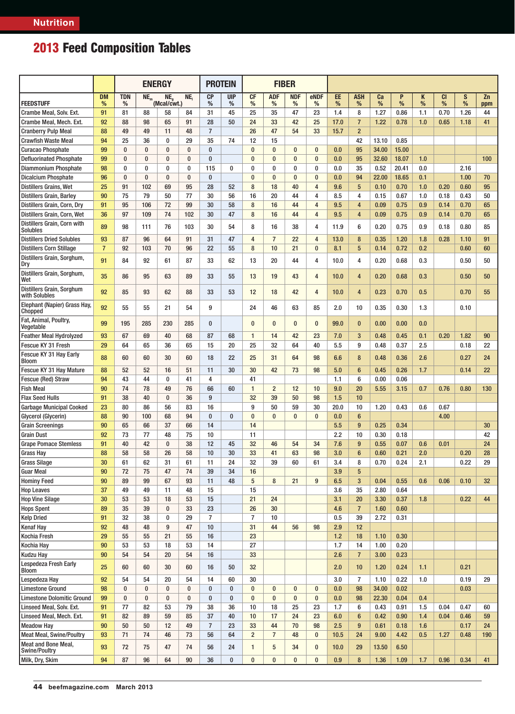|                                              |                |            |          | <b>ENERGY</b>     |           | <b>PROTEIN</b><br><b>FIBER</b> |            |                |                |            |                |            |                     |              |              |             |           |           |           |  |  |
|----------------------------------------------|----------------|------------|----------|-------------------|-----------|--------------------------------|------------|----------------|----------------|------------|----------------|------------|---------------------|--------------|--------------|-------------|-----------|-----------|-----------|--|--|
| <b>FEEDSTUFF</b>                             | <b>DM</b>      | <b>TDN</b> | $NE_{m}$ | NE.               | NE,       | <b>CP</b>                      | <b>UIP</b> | <b>CF</b>      | <b>ADF</b>     | <b>NDF</b> | eNDF           | EE         | <b>ASH</b>          | Ca           | P            | Κ           | <b>CI</b> | S         | Zn        |  |  |
| Crambe Meal, Solv. Ext.                      | %<br>91        | %<br>81    | 88       | (Mcal/cwt.)<br>58 | 84        | %<br>31                        | %<br>45    | %<br>25        | %<br>35        | %<br>47    | %<br>23        | %<br>1.4   | %<br>8              | $\%$<br>1.27 | %<br>0.86    | $\%$<br>1.1 | %<br>0.70 | %<br>1.26 | ppm<br>44 |  |  |
| Crambe Meal, Mech. Ext.                      | 92             | 88         | 98       | 65                | 91        | 28                             | 50         | 24             | 33             | 42         | 25             | 17.0       | $\overline{7}$      | 1.22         | 0.78         | 1.0         | 0.65      | 1.18      | 41        |  |  |
| <b>Cranberry Pulp Meal</b>                   | 88             | 49         | 49       | 11                | 48        | $\overline{7}$                 |            | 26             | 47             | 54         | 33             | 15.7       | $\overline{2}$      |              |              |             |           |           |           |  |  |
| <b>Crawfish Waste Meal</b>                   | 94             | 25         | 36       | $\bf{0}$          | 29        | 35                             | 74         | 12             | 15             |            |                |            | 42                  | 13.10        | 0.85         |             |           |           |           |  |  |
| <b>Curacao Phosphate</b>                     | 99             | $\bf{0}$   | $\bf{0}$ | $\bf{0}$          | $\bf{0}$  | $\bf{0}$                       |            | $\bf{0}$       | $\bf{0}$       | $\bf{0}$   | $\bf{0}$       | 0.0        | 95                  | 34.00        | 15.00        |             |           |           |           |  |  |
| <b>Defluorinated Phosphate</b>               | 99             | $\bf{0}$   | $\bf{0}$ | $\bf{0}$          | $\bf{0}$  | $\bf{0}$                       |            | $\bf{0}$       | $\bf{0}$       | $\bf{0}$   | $\bf{0}$       | 0.0        | 95                  | 32.60        | 18.07        | 1.0         |           |           | 100       |  |  |
| <b>Diammonium Phosphate</b>                  | 98             | $\bf{0}$   | 0        | $\bf{0}$          | 0         | 115                            | $\bf{0}$   | 0              | $\bf{0}$       | $\bf{0}$   | $\bf{0}$       | 0.0        | 35                  | 0.52         | 20.41        | 0.0         |           | 2.16      |           |  |  |
| <b>Dicalcium Phosphate</b>                   | 96             | $\bf{0}$   | $\bf{0}$ | $\bf{0}$          | $\bf{0}$  | 0                              |            | $\bf{0}$       | 0              | $\pmb{0}$  | $\bf{0}$       | 0.0        | 94                  | 22.00        | 18.65        | 0.1         |           | 1.00      | 70        |  |  |
| <b>Distillers Grains, Wet</b>                | 25             | 91         | 102      | 69                | 95        | 28                             | 52         | 8              | 18             | 40         | $\overline{4}$ | 9.6        | $5\phantom{.0}$     | 0.10         | 0.70         | 1.0         | 0.20      | 0.60      | 95        |  |  |
| <b>Distillers Grain, Barley</b>              | 90             | 75         | 79       | 50                | 77        | 30                             | 56         | 16             | 20             | 44         | 4              | 8.5        | 4                   | 0.15         | 0.67         | 1.0         | 0.18      | 0.43      | 50        |  |  |
| Distillers Grain, Corn, Dry                  | 91             | 95         | 106      | 72                | 99        | 30                             | 58         | 8              | 16             | 44         | 4              | 9.5        | 4                   | 0.09         | 0.75         | 0.9         | 0.14      | 0.70      | 65        |  |  |
| Distillers Grain, Corn, Wet                  | 36             | 97         | 109      | 74                | 102       | 30                             | 47         | 8              | 16             | 44         | 4              | 9.5        | $\overline{4}$      | 0.09         | 0.75         | 0.9         | 0.14      | 0.70      | 65        |  |  |
| Distillers Grain, Corn with<br>Solubles      | 89             | 98         | 111      | 76                | 103       | 30                             | 54         | 8              | 16             | 38         | 4              | 11.9       | 6                   | 0.20         | 0.75         | 0.9         | 0.18      | 0.80      | 85        |  |  |
| <b>Distillers Dried Solubles</b>             | 93             | 87         | 96       | 64                | 91        | 31                             | 47         | 4              | $\overline{7}$ | 22         | $\overline{4}$ | 13.0       | 8                   | 0.35         | 1.20         | 1.8         | 0.28      | 1.10      | 91        |  |  |
| <b>Distillers Corn Stillage</b>              | $\overline{7}$ | 92         | 103      | 70                | 96        | 22                             | 55         | 8              | 10             | 21         | 0              | 8.1        | $5\phantom{.0}$     | 0.14         | 0.72         | 0.2         |           | 0.60      | 60        |  |  |
| Distillers Grain, Sorghum,<br>Dry            | 91             | 84         | 92       | 61                | 87        | 33                             | 62         | 13             | 20             | 44         | 4              | 10.0       | 4                   | 0.20         | 0.68         | 0.3         |           | 0.50      | 50        |  |  |
| Distillers Grain, Sorghum,<br>  Wet          | 35             | 86         | 95       | 63                | 89        | 33                             | 55         | 13             | 19             | 43         | 4              | 10.0       | 4                   | 0.20         | 0.68         | 0.3         |           | 0.50      | 50        |  |  |
| Distillers Grain, Sorghum<br>with Solubles   | 92             | 85         | 93       | 62                | 88        | 33                             | 53         | 12             | 18             | 42         | $\overline{4}$ | 10.0       | $\overline{4}$      | 0.23         | 0.70         | 0.5         |           | 0.70      | 55        |  |  |
| Elephant (Napier) Grass Hay,<br>Chopped      | 92             | 55         | 55       | 21                | 54        | 9                              |            | 24             | 46             | 63         | 85             | 2.0        | 10                  | 0.35         | 0.30         | 1.3         |           | 0.10      |           |  |  |
| Fat, Animal, Poultry,<br>Vegetable           | 99             | 195        | 285      | 230               | 285       | $\bf{0}$                       |            | $\bf{0}$       | $\bf{0}$       | $\bf{0}$   | $\bf{0}$       | 99.0       | $\bf{0}$            | 0.00         | 0.00         | 0.0         |           |           |           |  |  |
| <b>Feather Meal Hydrolyzed</b>               | 93             | 67         | 69       | 40                | 68        | 87                             | 68         | $\mathbf{1}$   | 14             | 42         | 23             | 7.0        | 3                   | 0.48         | 0.45         | 0.1         | 0.20      | 1.82      | 90        |  |  |
| Fescue KY 31 Fresh                           | 29             | 64         | 65       | 36                | 65        | 15                             | 20         | 25             | 32             | 64         | 40             | 5.5        | 9                   | 0.48         | 0.37         | 2.5         |           | 0.18      | 22        |  |  |
| Fescue KY 31 Hay Early<br>Bloom              | 88             | 60         | 60       | 30                | 60        | 18                             | 22         | 25             | 31             | 64         | 98             | 6.6        | 8                   | 0.48         | 0.36         | 2.6         |           | 0.27      | 24        |  |  |
| Fescue KY 31 Hay Mature                      | 88             | 52         | 52       | 16                | 51        | 11                             | 30         | 30             | 42             | 73         | 98             | 5.0        | 6                   | 0.45         | 0.26         | 1.7         |           | 0.14      | 22        |  |  |
| <b>Fescue (Red) Straw</b>                    | 94             | 43         | 44       | $\bf{0}$          | 41        | 4                              |            | 41             |                |            |                | 1.1        | 6                   | 0.00         | 0.06         |             |           |           |           |  |  |
| <b>Fish Meal</b>                             | 90             | 74         | 78       | 49                | 76        | 66                             | 60         | $\mathbf{1}$   | $\overline{2}$ | 12         | 10             | 9.0        | 20                  | 5.55         | 3.15         | 0.7         | 0.76      | 0.80      | 130       |  |  |
| <b>Flax Seed Hulls</b>                       | 91             | 38         | 40       | $\bf{0}$          | 36        | 9                              |            | 32             | 39             | 50         | 98             | 1.5        | 10                  |              |              |             |           |           |           |  |  |
| <b>Garbage Municipal Cooked</b>              | 23             | 80         | 86       | 56                | 83        | 16                             |            | 9              | 50             | 59         | 30             | 20.0       | 10                  | 1.20         | 0.43         | 0.6         | 0.67      |           |           |  |  |
| Glycerol (Glycerin)                          | 88             | 90<br>65   | 100      | 68<br>37          | 94        | $\bf{0}$                       | $\pmb{0}$  | $\bf{0}$       | $\bf{0}$       | $\bf{0}$   | $\bf{0}$       | 0.0        | $6\phantom{1}$<br>9 |              |              |             | 4.00      |           |           |  |  |
| <b>Grain Screenings</b><br><b>Grain Dust</b> | 90<br>92       | 73         | 66<br>77 | 48                | 66<br>75  | 14<br>10                       |            | 14<br>11       |                |            |                | 5.5<br>2.2 | 10                  | 0.25<br>0.30 | 0.34<br>0.18 |             |           |           | 30<br>42  |  |  |
| <b>Grape Pomace Stemless</b>                 | 91             | 40         | 42       | $\pmb{0}$         | 38        | 12                             | 45         | 32             | 46             | 54         | 34             | 7.6        | 9                   | 0.55         | 0.07         | 0.6         | 0.01      |           | 24        |  |  |
| <b>Grass Hay</b>                             | 88             | 58         | 58       | 26                | 58        | 10                             | 30         | 33             | 41             | 63         | 98             | 3.0        | $6\phantom{1}$      | 0.60         | 0.21         | 2.0         |           | 0.20      | 28        |  |  |
| <b>Grass Silage</b>                          | 30             | 61         | 62       | 31                | 61        | 11                             | 24         | 32             | 39             | 60         | 61             | 3.4        | 8                   | 0.70         | 0.24         | 2.1         |           | 0.22      | 29        |  |  |
| <b>Guar Meal</b>                             | 90             | 72         | 75       | 47                | 74        | 39                             | 34         | 16             |                |            |                | 3.9        | $5\phantom{.0}$     |              |              |             |           |           |           |  |  |
| <b>Hominy Feed</b>                           | 90             | 89         | 99       | 67                | 93        | 11                             | 48         | 5              | 8              | 21         | 9              | 6.5        | 3                   | 0.04         | 0.55         | 0.6         | 0.06      | 0.10      | 32        |  |  |
| <b>Hop Leaves</b>                            | 37             | 49         | 49       | 11                | 48        | 15                             |            | 15             |                |            |                | 3.6        | 35                  | 2.80         | 0.64         |             |           |           |           |  |  |
| <b>Hop Vine Silage</b>                       | 30             | 53         | 53       | 18                | 53        | 15                             |            | 21             | 24             |            |                | 3.1        | 20                  | 3.30         | 0.37         | 1.8         |           | 0.22      | 44        |  |  |
| <b>Hops Spent</b>                            | 89             | 35         | 39       | $\bf{0}$          | 33        | 23                             |            | 26             | 30             |            |                | 4.6        | $\overline{7}$      | 1.60         | 0.60         |             |           |           |           |  |  |
| <b>Kelp Dried</b>                            | 91             | 32         | 38       | $\bf{0}$          | 29        | $\overline{7}$                 |            | $\overline{7}$ | 10             |            |                | 0.5        | 39                  | 2.72         | 0.31         |             |           |           |           |  |  |
| <b>Kenaf Hay</b>                             | 92             | 48         | 48       | 9                 | 47        | 10                             |            | 31             | 44             | 56         | 98             | 2.9        | 12                  |              |              |             |           |           |           |  |  |
| Kochia Fresh                                 | 29             | 55         | 55       | 21                | 55        | 16                             |            | 23             |                |            |                | 1.2        | 18                  | 1.10         | 0.30         |             |           |           |           |  |  |
| Kochia Hay                                   | 90             | 53         | 53       | 18                | 53        | 14                             |            | 27             |                |            |                | 1.7        | 14                  | 1.00         | 0.20         |             |           |           |           |  |  |
| <b>Kudzu Hay</b>                             | 90             | 54         | 54       | 20                | 54        | 16                             |            | 33             |                |            |                | 2.6        | $\overline{7}$      | 3.00         | 0.23         |             |           |           |           |  |  |
| <b>Lespedeza Fresh Early</b><br>Bloom        | 25             | 60         | 60       | 30                | 60        | 16                             | 50         | 32             |                |            |                | 2.0        | 10                  | 1.20         | 0.24         | 1.1         |           | 0.21      |           |  |  |
| Lespedeza Hay                                | 92             | 54         | 54       | 20                | 54        | 14                             | 60         | 30             |                |            |                | 3.0        | 7                   | 1.10         | 0.22         | 1.0         |           | 0.19      | 29        |  |  |
| <b>Limestone Ground</b>                      | 98             | $\bf{0}$   | $\bf{0}$ | $\bf{0}$          | 0         | $\bf{0}$                       | $\bf{0}$   | $\bf{0}$       | $\bf{0}$       | $\bf{0}$   | $\bf{0}$       | 0.0        | 98                  | 34.00        | 0.02         |             |           | 0.03      |           |  |  |
| <b>Limestone Dolomitic Ground</b>            | 99             | $\bf{0}$   | 0        | 0                 | $\pmb{0}$ | 0                              | $\bf{0}$   | $\pmb{0}$      | $\pmb{0}$      | $\bf{0}$   | $\bf{0}$       | 0.0        | 98                  | 22.30        | 0.04         | 0.4         |           |           |           |  |  |
| Linseed Meal, Solv. Ext.                     | 91             | 77         | 82       | 53                | 79        | 38                             | 36         | 10             | 18             | 25         | 23             | 1.7        | 6                   | 0.43         | 0.91         | 1.5         | 0.04      | 0.47      | 60        |  |  |
| Linseed Meal, Mech. Ext.                     | 91             | 82         | 89       | 59                | 85        | 37                             | 40         | 10             | 17             | 24         | 23             | 6.0        | 6                   | 0.42         | 0.90         | 1.4         | 0.04      | 0.46      | 59        |  |  |
| <b>Meadow Hay</b>                            | 90             | 50         | 50       | 12                | 49        | $\overline{7}$                 | 23         | 33             | 44             | 70         | 98             | 2.5        | 9                   | 0.61         | 0.18         | 1.6         |           | 0.17      | 24        |  |  |
| <b>Meat Meal, Swine/Poultry</b>              | 93             | 71         | 74       | 46                | 73        | 56                             | 64         | $\overline{c}$ | $\overline{7}$ | 48         | $\bf{0}$       | 10.5       | 24                  | 9.00         | 4.42         | 0.5         | 1.27      | 0.48      | 190       |  |  |
| Meat and Bone Meal,<br><b>Swine/Poultry</b>  | 93             | 72         | 75       | 47                | 74        | 56                             | 24         | 1              | 5              | 34         | $\pmb{0}$      | 10.0       | 29                  | 13.50        | 6.50         |             |           |           |           |  |  |
| Milk, Dry, Skim                              | 94             | 87         | 96       | 64                | 90        | 36                             | $\bf{0}$   | $\pmb{0}$      | $\bf{0}$       | $\pmb{0}$  | $\bf{0}$       | 0.9        | 8                   | 1.36         | 1.09         | 1.7         | 0.96      | 0.34      | 41        |  |  |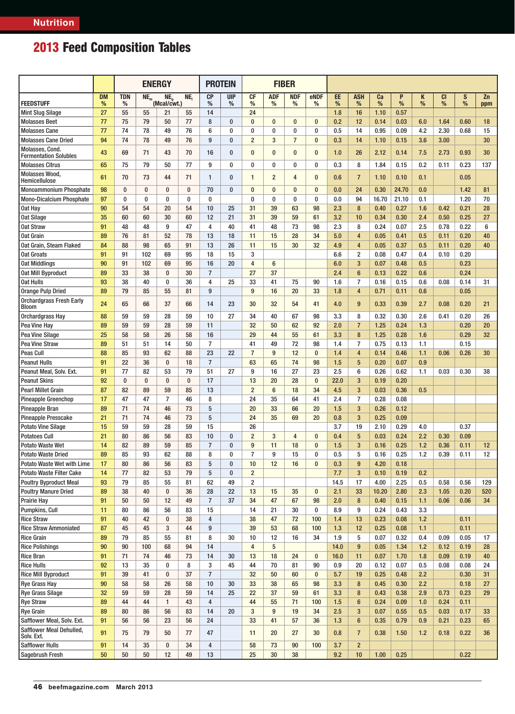|                                                             |                | <b>ENERGY</b>   |          |                                |          |                 | <b>PROTEIN</b><br><b>FIBER</b> |                         |                 |                 |                |            |                     |              |              |            |                |              |           |
|-------------------------------------------------------------|----------------|-----------------|----------|--------------------------------|----------|-----------------|--------------------------------|-------------------------|-----------------|-----------------|----------------|------------|---------------------|--------------|--------------|------------|----------------|--------------|-----------|
| <b>FEEDSTUFF</b>                                            | <b>DM</b><br>% | <b>TDN</b><br>% | $NE_{m}$ | NE <sub>o</sub><br>(Mcal/cwt.) | NE,      | <b>CP</b><br>%  | <b>UIP</b><br>%                | <b>CF</b><br>%          | <b>ADF</b><br>% | <b>NDF</b><br>% | eNDF<br>%      | EE<br>%    | <b>ASH</b><br>%     | Ca<br>%      | P<br>%       | K<br>%     | <b>CI</b><br>% | S<br>%       | Zn<br>ppm |
| <b>Mint Slug Silage</b>                                     | 27             | 55              | 55       | 21                             | 55       | 14              |                                | 24                      |                 |                 |                | 1.8        | 16                  | 1.10         | 0.57         |            |                |              |           |
| <b>Molasses Beet</b>                                        | 77             | 75              | 79       | 50                             | 77       | 8               | $\bf{0}$                       | $\bf{0}$                | $\bf{0}$        | $\bf{0}$        | 0              | 0.2        | 12                  | 0.14         | 0.03         | 6.0        | 1.64           | 0.60         | 18        |
| <b>Molasses Cane</b>                                        | 77             | 74              | 78       | 49                             | 76       | 6               | 0                              | $\bf{0}$                | 0               | $\bf{0}$        | 0              | 0.5        | 14                  | 0.95         | 0.09         | 4.2        | 2.30           | 0.68         | 15        |
| <b>Molasses Cane Dried</b>                                  | 94             | 74              | 78       | 49                             | 76       | 9               | $\bf{0}$                       | $\overline{2}$          | 3               | $\overline{7}$  | $\bf{0}$       | 0.3        | 14                  | 1.10         | 0.15         | 3.6        | 3.00           |              | 30        |
| Molasses, Cond.<br><b>Fermentation Solubles</b>             | 43             | 69              | 71       | 43                             | 70       | 16              | $\bf{0}$                       | $\bf{0}$                | $\bf{0}$        | $\mathbf{0}$    | $\bf{0}$       | 1.0        | 26                  | 2.12         | 0.14         | 7.5        | 2.73           | 0.93         | 30        |
| <b>Molasses Citrus</b>                                      | 65             | 75              | 79       | 50                             | 77       | 9               | 0                              | 0                       | 0               | 0               | 0              | 0.3        | 8                   | 1.84         | 0.15         | 0.2        | 0.11           | 0.23         | 137       |
| Molasses Wood.<br>Hemicellulose                             | 61             | 70              | 73       | 44                             | 71       | $\mathbf{1}$    | $\bf{0}$                       | $\mathbf{1}$            | $\overline{2}$  | 4               | $\bf{0}$       | 0.6        | $\overline{7}$      | 1.10         | 0.10         | 0.1        |                | 0.05         |           |
| <b>Monoammonium Phosphate</b>                               | 98             | $\bf{0}$        | $\bf{0}$ | $\bf{0}$                       | $\bf{0}$ | 70              | $\bf{0}$                       | $\bf{0}$                | $\bf{0}$        | $\mathbf{0}$    | $\bf{0}$       | 0.0        | 24                  | 0.30         | 24.70        | 0.0        |                | 1.42         | 81        |
| <b>Mono-Dicalcium Phosphate</b>                             | 97             | $\bf{0}$        | $\bf{0}$ | $\bf{0}$                       | $\bf{0}$ | 0               |                                | $\bf{0}$                | $\bf{0}$        | $\bf{0}$        | 0              | 0.0        | 94                  | 16.70        | 21.10        | 0.1        |                | 1.20         | 70        |
| Oat Hay                                                     | 90             | 54              | 54       | 20                             | 54       | 10              | 25                             | 31                      | 39              | 63              | 98             | 2.3        | 8                   | 0.40         | 0.27         | 1.6        | 0.42           | 0.21         | 28        |
| Oat Silage                                                  | 35             | 60              | 60       | 30                             | 60       | 12              | 21                             | 31                      | 39              | 59              | 61             | 3.2        | 10                  | 0.34         | 0.30         | 2.4        | 0.50           | 0.25         | 27        |
| <b>Oat Straw</b>                                            | 91             | 48              | 48       | 9                              | 47       | 4               | 40                             | 41                      | 48              | 73              | 98             | 2.3        | 8                   | 0.24         | 0.07         | 2.5        | 0.78           | 0.22         | 6         |
| Oat Grain                                                   | 89             | 76              | 81       | 52                             | 78       | 13              | 18                             | 11                      | 15              | 28              | 34             | 5.0        | $\overline{4}$      | 0.05         | 0.41         | 0.5        | 0.11           | 0.20         | 40        |
| Oat Grain, Steam Flaked                                     | 84             | 88              | 98       | 65                             | 91       | 13              | 26                             | 11                      | 15              | 30              | 32             | 4.9        | $\overline{4}$      | 0.05         | 0.37         | 0.5        | 0.11           | 0.20         | 40        |
| <b>Oat Groats</b>                                           | 91             | 91              | 102      | 69                             | 95       | 18              | 15                             | 3                       |                 |                 |                | 6.6        | $\overline{2}$      | 0.08         | 0.47         | 0.4        | 0.10           | 0.20         |           |
| <b>Oat Middlings</b>                                        | 90             | 91              | 102      | 69                             | 95       | 16              | 20                             | 4                       | 6               |                 |                | 6.0        | 3                   | 0.07         | 0.48         | 0.5        |                | 0.23         |           |
| <b>Oat Mill Byproduct</b>                                   | 89             | 33              | 38       | $\bf{0}$                       | 30       | $\overline{7}$  |                                | 27                      | 37              |                 |                | 2.4        | $6\phantom{1}$      | 0.13         | 0.22         | 0.6        |                | 0.24         |           |
| Oat Hulls                                                   | 93             | 38              | 40       | 0                              | 36       | 4               | 25                             | 33                      | 41              | 75              | 90             | 1.6        | $\overline{7}$      | 0.16         | 0.15         | 0.6        | 0.08           | 0.14         | 31        |
| <b>Orange Pulp Dried</b><br><b>Orchardgrass Fresh Early</b> | 89<br>24       | 79              | 85       | 55                             | 81       | 9               |                                | 9                       | 16              | 20              | 33             | 1.8        | $\overline{4}$<br>9 | 0.71         | 0.11         | 0.6        | 0.08           | 0.05<br>0.20 |           |
| <b>Bloom</b><br><b>Orchardgrass Hay</b>                     | 88             | 65<br>59        | 66<br>59 | 37<br>28                       | 66<br>59 | 14<br>10        | 23<br>27                       | 30<br>34                | 32<br>40        | 54<br>67        | 41<br>98       | 4.0<br>3.3 | 8                   | 0.33<br>0.32 | 0.39<br>0.30 | 2.7<br>2.6 | 0.41           | 0.20         | 21<br>26  |
| Pea Vine Hay                                                | 89             | 59              | 59       | 28                             | 59       | 11              |                                | 32                      | 50              | 62              | 92             | 2.0        | $\overline{7}$      | 1.25         | 0.24         | 1.3        |                | 0.20         | 20        |
| Pea Vine Silage                                             | 25             | 58              | 58       | 26                             | 58       | 16              |                                | 29                      | 44              | 55              | 61             | 3.3        | 8                   | 1.25         | 0.28         | 1.6        |                | 0.29         | 32        |
| Pea Vine Straw                                              | 89             | 51              | 51       | 14                             | 50       | $\overline{7}$  |                                | 41                      | 49              | 72              | 98             | 1.4        | $\overline{7}$      | 0.75         | 0.13         | 1.1        |                | 0.15         |           |
| Peas Cull                                                   | 88             | 85              | 93       | 62                             | 88       | 23              | 22                             | $\overline{7}$          | 9               | 12              | $\bf{0}$       | 1.4        | $\overline{4}$      | 0.14         | 0.46         | 1.1        | 0.06           | 0.26         | 30        |
| <b>Peanut Hulls</b>                                         | 91             | 22              | 36       | $\bf{0}$                       | 18       | $\overline{7}$  |                                | 63                      | 65              | 74              | 98             | 1.5        | 5                   | 0.20         | 0.07         | 0.9        |                |              |           |
| Peanut Meal, Solv. Ext.                                     | 91             | 77              | 82       | 53                             | 79       | 51              | 27                             | 9                       | 16              | 27              | 23             | 2.5        | 6                   | 0.26         | 0.62         | 1.1        | 0.03           | 0.30         | 38        |
| <b>Peanut Skins</b>                                         | 92             | $\bf{0}$        | $\bf{0}$ | $\bf{0}$                       | $\bf{0}$ | 17              |                                | 13                      | 20              | 28              | $\bf{0}$       | 22.0       | 3                   | 0.19         | 0.20         |            |                |              |           |
| <b>Pearl Millet Grain</b>                                   | 87             | 82              | 89       | 59                             | 85       | 13              |                                | $\overline{2}$          | $6\phantom{1}$  | 18              | 34             | 4.5        | $\overline{3}$      | 0.03         | 0.36         | 0.5        |                |              |           |
| <b>Pineapple Greenchop</b>                                  | 17             | 47              | 47       | $\overline{7}$                 | 46       | 8               |                                | 24                      | 35              | 64              | 41             | 2.4        | $\overline{7}$      | 0.28         | 0.08         |            |                |              |           |
| <b>Pineapple Bran</b>                                       | 89             | 71              | 74       | 46                             | 73       | 5               |                                | 20                      | 33              | 66              | 20             | 1.5        | 3                   | 0.26         | 0.12         |            |                |              |           |
| <b>Pineapple Presscake</b>                                  | 21             | 71              | 74       | 46                             | 73       | $5\phantom{.0}$ |                                | 24                      | 35              | 69              | 20             | 0.8        | $\overline{3}$      | 0.25         | 0.09         |            |                |              |           |
| <b>Potato Vine Silage</b>                                   | 15             | 59              | 59       | 28                             | 59       | 15              |                                | 26                      |                 |                 |                | 3.7        | 19                  | 2.10         | 0.29         | 4.0        |                | 0.37         |           |
| <b>Potatoes Cull</b>                                        | 21             | 80              | 86       | 56                             | 83       | 10              | $\bf{0}$                       | $\overline{2}$          | 3               | $\overline{4}$  | $\bf{0}$       | 0.4        | $5\phantom{.0}$     | 0.03         | 0.24         | 2.2        | 0.30           | 0.09         |           |
| <b>Potato Waste Wet</b>                                     | 14             | 82              | 89       | 59                             | 85       | $\overline{7}$  | $\bf{0}$                       | 9                       | 11              | 18              | $\bf{0}$       | 1.5        | $\overline{3}$      | 0.16         | 0.25         | 1.2        | 0.36           | 0.11         | 12        |
| <b>Potato Waste Dried</b>                                   | 89             | 85              | 93       | 62                             | 88       | 8               | 0                              | $\overline{7}$          | 9               | 15              | 0              | 0.5        | 5                   | 0.16         | 0.25         | 1.2        | 0.39           | 0.11         | 12        |
| Potato Waste Wet with Lime                                  | 17             | 80              | 86       | 56                             | 83       | 5               | $\bf{0}$                       | 10                      | 12              | 16              | $\overline{0}$ | 0.3        | 9                   | 4.20         | 0.18         |            |                |              |           |
| <b>Potato Waste Filter Cake</b>                             | 14             | 77              | 82       | 53                             | 79       | 5               | $\bf{0}$                       | $\overline{2}$          |                 |                 |                | 7.7        | $\overline{3}$      | 0.10         | 0.19         | 0.2        |                |              |           |
| <b>Poultry Byproduct Meal</b>                               | 93             | 79              | 85       | 55                             | 81       | 62              | 49                             | $\overline{2}$          |                 |                 |                | 14.5       | 17                  | 4.00         | 2.25         | 0.5        | 0.58           | 0.56         | 129       |
| <b>Poultry Manure Dried</b>                                 | 89             | 38              | 40       | 0                              | 36       | 28              | 22                             | 13                      | 15              | 35              | 0              | 2.1        | 33                  | 10.20        | 2.80         | 2.3        | 1.05           | 0.20         | 520       |
| <b>Prairie Hay</b>                                          | 91             | 50              | 50       | 12                             | 49       | $\overline{7}$  | 37                             | 34                      | 47              | 67              | 98             | 2.0        | $\bf 8$             | 0.40         | 0.15         | 1.1        | 0.06           | 0.06         | 34        |
| Pumpkins, Cull                                              | 11             | 80              | 86       | 56                             | 83       | 15              |                                | 14                      | 21              | 30              | 0              | 8.9        | 9                   | 0.24         | 0.43         | 3.3        |                |              |           |
| <b>Rice Straw</b>                                           | 91             | 40              | 42       | $\bf{0}$                       | 38       | 4               |                                | 38                      | 47              | 72              | 100            | 1.4        | 13                  | 0.23         | 0.08         | 1.2        |                | 0.11         |           |
| <b>Rice Straw Ammoniated</b>                                | 87             | 45              | 45       | 3                              | 44       | 9               |                                | 39                      | 53              | 68              | 100            | 1.3        | 12                  | 0.25         | 0.08         | 1.1        |                | 0.11         |           |
| <b>Rice Grain</b>                                           | 89             | 79              | 85       | 55                             | 81       | 8               | 30                             | 10                      | 12              | 16              | 34             | 1.9        | 5                   | 0.07         | 0.32         | 0.4        | 0.09           | 0.05         | 17        |
| <b>Rice Polishings</b>                                      | 90             | 90              | 100      | 68                             | 94       | 14              |                                | $\overline{\mathbf{4}}$ | 5               |                 |                | 14.0       | 9                   | 0.05         | 1.34         | 1.2        | 0.12           | 0.19         | 28        |
| <b>Rice Bran</b>                                            | 91             | 71              | 74       | 46                             | 73       | 14              | 30                             | 13                      | 18              | 24              | 0              | 16.0       | 11                  | 0.07         | 1.70         | 1.8        | 0.09           | 0.19         | 40        |
| <b>Rice Hulls</b>                                           | 92             | 13              | 35       | $\bf{0}$                       | 8        | 3               | 45                             | 44                      | 70              | 81              | 90             | 0.9        | 20                  | 0.12         | 0.07         | 0.5        | 0.08           | 0.08         | 24        |
| <b>Rice Mill Byproduct</b>                                  | 91<br>90       | 39<br>58        | 41<br>58 | $\bf{0}$<br>26                 | 37<br>58 | $\overline{7}$  |                                | 32<br>33                | 50<br>38        | 60<br>65        | $\bf{0}$       | 5.7        | 19                  | 0.25         | 0.48         | 2.2<br>2.2 |                | 0.30         | 31<br>27  |
| <b>Rye Grass Hay</b><br><b>Rye Grass Silage</b>             | 32             | 59              | 59       | 28                             | 59       | 10<br>14        | 30<br>25                       | 22                      | 37              | 59              | 98<br>61       | 3.3<br>3.3 | 8<br>$\bf 8$        | 0.45<br>0.43 | 0.30<br>0.38 | 2.9        | 0.73           | 0.18<br>0.23 | 29        |
| <b>Rye Straw</b>                                            | 89             | 44              | 44       | $\mathbf{1}$                   | 43       | 4               |                                | 44                      | 55              | 71              | 100            | 1.5        | $6\phantom{1}$      | 0.24         | 0.09         | 1.0        | 0.24           | 0.11         |           |
| <b>Rye Grain</b>                                            | 89             | 80              | 86       | 56                             | 83       | 14              | 20                             | 3                       | 9               | 19              | 34             | 2.5        | $\mathbf{3}$        | 0.07         | 0.55         | 0.5        | 0.03           | 0.17         | 33        |
| Safflower Meal, Solv. Ext.                                  | 91             | 56              | 56       | 23                             | 56       | 24              |                                | 33                      | 41              | 57              | 36             | 1.3        | $6\phantom{1}$      | 0.35         | 0.79         | 0.9        | 0.21           | 0.23         | 65        |
| Safflower Meal Dehulled,<br>Solv. Ext.                      | 91             | 75              | 79       | 50                             | 77       | 47              |                                | 11                      | 20              | 27              | 30             | 0.8        | $\overline{7}$      | 0.38         | 1.50         | 1.2        | 0.18           | 0.22         | 36        |
| Safflower Hulls                                             | 91             | 14              | 35       | $\bf{0}$                       | 34       | 4               |                                | 58                      | 73              | 90              | 100            | 3.7        | $\overline{2}$      |              |              |            |                |              |           |
| <b>Sagebrush Fresh</b>                                      | 50             | 50              | 50       | 12                             | 49       | 13              |                                | 25                      | 30              | 38              |                | 9.2        | 10                  | 1.00         | 0.25         |            |                | 0.22         |           |